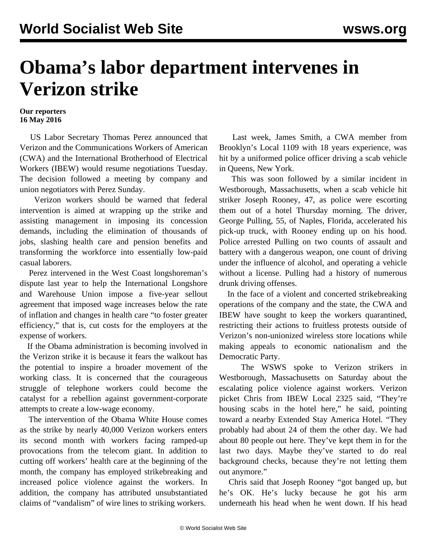## **Obama's labor department intervenes in Verizon strike**

## **Our reporters 16 May 2016**

 US Labor Secretary Thomas Perez announced that Verizon and the Communications Workers of American (CWA) and the International Brotherhood of Electrical Workers (IBEW) would resume negotiations Tuesday. The decision followed a meeting by company and union negotiators with Perez Sunday.

 Verizon workers should be warned that federal intervention is aimed at wrapping up the strike and assisting management in imposing its concession demands, including the elimination of thousands of jobs, slashing health care and pension benefits and transforming the workforce into essentially low-paid casual laborers.

 Perez intervened in the West Coast longshoreman's dispute last year to help the International Longshore and Warehouse Union impose a five-year sellout agreement that imposed wage increases below the rate of inflation and changes in health care "to foster greater efficiency," that is, cut costs for the employers at the expense of workers.

 If the Obama administration is becoming involved in the Verizon strike it is because it fears the walkout has the potential to inspire a broader movement of the working class. It is concerned that the courageous struggle of telephone workers could become the catalyst for a rebellion against government-corporate attempts to create a low-wage economy.

 The intervention of the Obama White House comes as the strike by nearly 40,000 Verizon workers enters its second month with workers facing ramped-up provocations from the telecom giant. In addition to cutting off workers' health care at the beginning of the month, the company has employed strikebreaking and increased police violence against the workers. In addition, the company has attributed unsubstantiated claims of "vandalism" of wire lines to striking workers.

 Last week, James Smith, a CWA member from Brooklyn's Local 1109 with 18 years experience, was hit by a uniformed police officer driving a scab vehicle in Queens, New York.

 This was soon followed by a similar incident in Westborough, Massachusetts, when a scab vehicle hit striker Joseph Rooney, 47, as police were escorting them out of a hotel Thursday morning. The driver, George Pulling, 55, of Naples, Florida, accelerated his pick-up truck, with Rooney ending up on his hood. Police arrested Pulling on two counts of assault and battery with a dangerous weapon, one count of driving under the influence of alcohol, and operating a vehicle without a license. Pulling had a history of numerous drunk driving offenses.

 In the face of a violent and concerted strikebreaking operations of the company and the state, the CWA and IBEW have sought to keep the workers quarantined, restricting their actions to fruitless protests outside of Verizon's non-unionized wireless store locations while making appeals to economic nationalism and the Democratic Party.

 The WSWS spoke to Verizon strikers in Westborough, Massachusetts on Saturday about the escalating police violence against workers. Verizon picket Chris from IBEW Local 2325 said, "They're housing scabs in the hotel here," he said, pointing toward a nearby Extended Stay America Hotel. "They probably had about 24 of them the other day. We had about 80 people out here. They've kept them in for the last two days. Maybe they've started to do real background checks, because they're not letting them out anymore."

 Chris said that Joseph Rooney "got banged up, but he's OK. He's lucky because he got his arm underneath his head when he went down. If his head